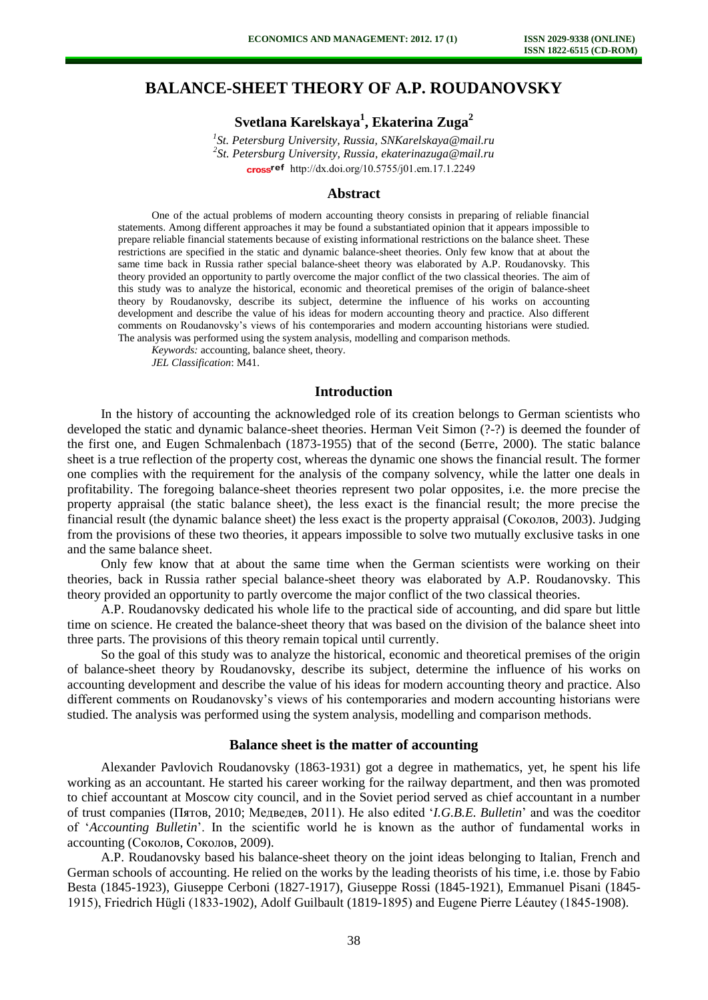# **BALANCE-SHEET THEORY OF A.P. ROUDANOVSKY**

**Svetlana Karelskaya<sup>1</sup> , Ekaterina Zuga<sup>2</sup>**

*1 St. Petersburg University, Russia, [SNKarelskaya@mail.ru](mailto:SNKarelskaya@mail.ru) 2 St. Petersburg University, Russia, [ekaterinazuga@mail.ru](mailto:ekaterinazuga@mail.ru)* cross<sup>ref</sup> [http://dx.doi.org/10.5755/j01.e](http://dx.doi.org/10.5755/j01.em.17.1.2245)m.17.1.2249

### **Abstract**

One of the actual problems of modern accounting theory consists in preparing of reliable financial statements. Among different approaches it may be found a substantiated opinion that it appears impossible to prepare reliable financial statements because of existing informational restrictions on the balance sheet. These restrictions are specified in the static and dynamic balance-sheet theories. Only few know that at about the same time back in Russia rather special balance-sheet theory was elaborated by A.P. Roudanovsky. This theory provided an opportunity to partly overcome the major conflict of the two classical theories. The aim of this study was to analyze the historical, economic and theoretical premises of the origin of balance-sheet theory by Roudanovsky, describe its subject, determine the influence of his works on accounting development and describe the value of his ideas for modern accounting theory and practice. Also different comments on Roudanovsky's views of his contemporaries and modern accounting historians were studied. The analysis was performed using the system analysis, modelling and comparison methods.

*Keywords:* accounting, balance sheet, theory.

*JEL Classification*: M41.

## **Introduction**

In the history of accounting the acknowledged role of its creation belongs to German scientists who developed the static and dynamic balance-sheet theories. Herman Veit Simon (?-?) is deemed the founder of the first one, and Eugen Schmalenbach (1873-1955) that of the second (Бетге, 2000). The static balance sheet is a true reflection of the property cost, whereas the dynamic one shows the financial result. The former one complies with the requirement for the analysis of the company solvency, while the latter one deals in profitability. The foregoing balance-sheet theories represent two polar opposites, i.e. the more precise the property appraisal (the static balance sheet), the less exact is the financial result; the more precise the financial result (the dynamic balance sheet) the less exact is the property appraisal (Соколов, 2003). Judging from the provisions of these two theories, it appears impossible to solve two mutually exclusive tasks in one and the same balance sheet.

Only few know that at about the same time when the German scientists were working on their theories, back in Russia rather special balance-sheet theory was elaborated by A.P. Roudanovsky. This theory provided an opportunity to partly overcome the major conflict of the two classical theories.

A.P. Roudanovsky dedicated his whole life to the practical side of accounting, and did spare but little time on science. He created the balance-sheet theory that was based on the division of the balance sheet into three parts. The provisions of this theory remain topical until currently.

So the goal of this study was to analyze the historical, economic and theoretical premises of the origin of balance-sheet theory by Roudanovsky, describe its subject, determine the influence of his works on accounting development and describe the value of his ideas for modern accounting theory and practice. Also different comments on Roudanovsky's views of his contemporaries and modern accounting historians were studied. The analysis was performed using the system analysis, modelling and comparison methods.

#### **Balance sheet is the matter of accounting**

Alexander Pavlovich Roudanovsky (1863-1931) got a degree in mathematics, yet, he spent his life working as an accountant. He started his career working for the railway department, and then was promoted to chief accountant at Moscow city council, and in the Soviet period served as chief accountant in a number of trust companies (Пятов, 2010; Медведев, 2011). He also edited '*I.G.B.E. Bulletin*' and was the coeditor of '*Accounting Bulletin*'. In the scientific world he is known as the author of fundamental works in accounting (Соколов, Соколов, 2009).

A.P. Roudanovsky based his balance-sheet theory on the joint ideas belonging to Italian, French and German schools of accounting. He relied on the works by the leading theorists of his time, i.e. those by Fabio Besta (1845-1923), Giuseppe Cerboni (1827-1917), Giuseppe Rossi (1845-1921), Emmanuel Pisani (1845- 1915), Friedrich Hügli (1833-1902), Adolf Guilbault (1819-1895) and Eugene Pierre Léautey (1845-1908).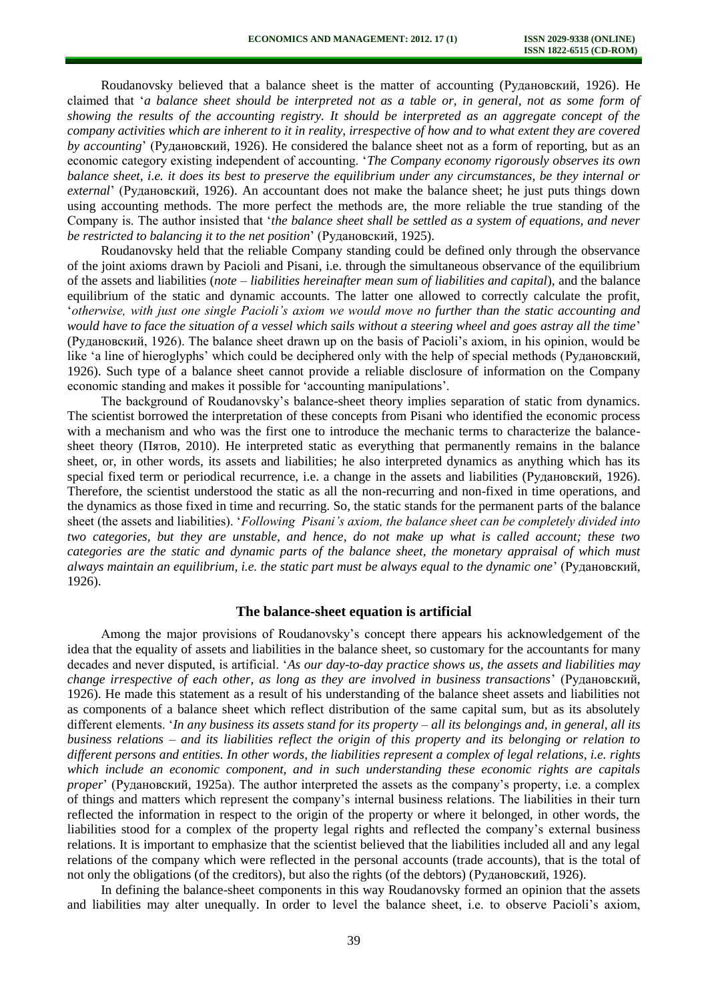Roudanovsky believed that a balance sheet is the matter of accounting (Рудановский, 1926). He claimed that '*a balance sheet should be interpreted not as a table or, in general, not as some form of showing the results of the accounting registry. It should be interpreted as an aggregate concept of the company activities which are inherent to it in reality, irrespective of how and to what extent they are covered by accounting*' (Рудановский, 1926). He considered the balance sheet not as a form of reporting, but as an economic category existing independent of accounting. '*The Company economy rigorously observes its own balance sheet, i.e. it does its best to preserve the equilibrium under any circumstances, be they internal or external*' (Рудановский, 1926). An accountant does not make the balance sheet; he just puts things down using accounting methods. The more perfect the methods are, the more reliable the true standing of the Company is. The author insisted that '*the balance sheet shall be settled as a system of equations, and never be restricted to balancing it to the net position*' (Рудановский, 1925).

Roudanovsky held that the reliable Company standing could be defined only through the observance of the joint axioms drawn by Paсioli and Pisani, i.e. through the simultaneous observance of the equilibrium of the assets and liabilities (*note* – *liabilities hereinafter mean sum of liabilities and capital*), and the balance equilibrium of the static and dynamic accounts. The latter one allowed to correctly calculate the profit, '*otherwise, with just one single Pacioli's axiom we would move no further than the static accounting and would have to face the situation of a vessel which sails without a steering wheel and goes astray all the time*' (Рудановский, 1926). The balance sheet drawn up on the basis of Pacioli's axiom, in his opinion, would be like 'a line of hieroglyphs' which could be deciphered only with the help of special methods (Рудановский, 1926). Such type of a balance sheet cannot provide a reliable disclosure of information on the Company economic standing and makes it possible for 'accounting manipulations'.

The background of Roudanovsky's balance-sheet theory implies separation of static from dynamics. The scientist borrowed the interpretation of these concepts from Pisani who identified the economic process with a mechanism and who was the first one to introduce the mechanic terms to characterize the balancesheet theory (Пятов, 2010). He interpreted static as everything that permanently remains in the balance sheet, or, in other words, its assets and liabilities; he also interpreted dynamics as anything which has its special fixed term or periodical recurrence, i.e. a change in the assets and liabilities (Рудановский, 1926). Therefore, the scientist understood the static as all the non-recurring and non-fixed in time operations, and the dynamics as those fixed in time and recurring. So, the static stands for the permanent parts of the balance sheet (the assets and liabilities). '*Following Pisani's axiom, the balance sheet can be completely divided into two categories, but they are unstable, and hence, do not make up what is called account; these two categories are the static and dynamic parts of the balance sheet, the monetary appraisal of which must always maintain an equilibrium, i.e. the static part must be always equal to the dynamic one*' (Рудановский, 1926).

### **The balance-sheet equation is artificial**

Among the major provisions of Roudanovsky's concept there appears his acknowledgement of the idea that the equality of assets and liabilities in the balance sheet, so customary for the accountants for many decades and never disputed, is artificial. '*As our day-to-day practice shows us, the assets and liabilities may change irrespective of each other, as long as they are involved in business transactions*' (Рудановский, 1926). He made this statement as a result of his understanding of the balance sheet assets and liabilities not as components of a balance sheet which reflect distribution of the same capital sum, but as its absolutely different elements. '*In any business its assets stand for its property – all its belongings and, in general, all its business relations – and its liabilities reflect the origin of this property and its belonging or relation to different persons and entities. In other words, the liabilities represent a complex of legal relations, i.e. rights which include an economic component, and in such understanding these economic rights are capitals proper*' (Рудановский, 1925а). The author interpreted the assets as the company's property, i.e. a complex of things and matters which represent the company's internal business relations. The liabilities in their turn reflected the information in respect to the origin of the property or where it belonged, in other words, the liabilities stood for a complex of the property legal rights and reflected the company's external business relations. It is important to emphasize that the scientist believed that the liabilities included all and any legal relations of the company which were reflected in the personal accounts (trade accounts), that is the total of not only the obligations (of the creditors), but also the rights (of the debtors) (Рудановский, 1926).

In defining the balance-sheet components in this way Roudanovsky formed an opinion that the assets and liabilities may alter unequally. In order to level the balance sheet, i.e. to observe Pacioli's axiom,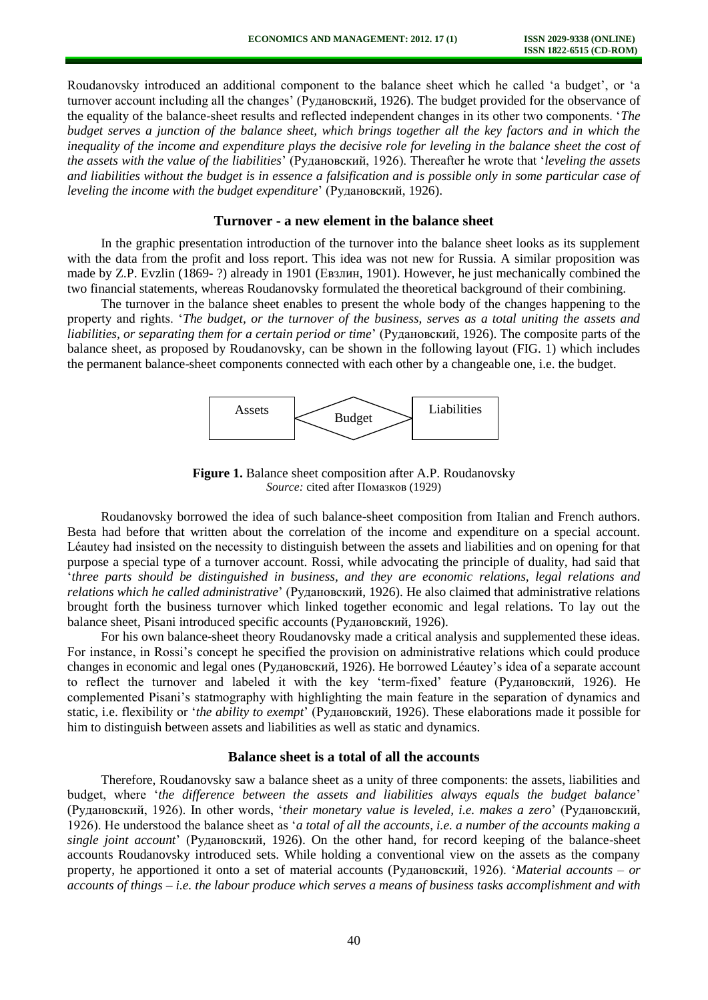Roudanovsky introduced an additional component to the balance sheet which he called 'a budget', or 'a turnover account including all the changes' (Рудановский, 1926). The budget provided for the observance of the equality of the balance-sheet results and reflected independent changes in its other two components. '*The budget serves a junction of the balance sheet, which brings together all the key factors and in which the inequality of the income and expenditure plays the decisive role for leveling in the balance sheet the cost of the assets with the value of the liabilities*' (Рудановский, 1926). Thereafter he wrote that '*leveling the assets and liabilities without the budget is in essence a falsification and is possible only in some particular case of leveling the income with the budget expenditure*' (Рудановский, 1926).

## **Turnover - a new element in the balance sheet**

In the graphic presentation introduction of the turnover into the balance sheet looks as its supplement with the data from the profit and loss report. This idea was not new for Russia. A similar proposition was made by Z.P. Evzlin (1869- ?) already in 1901 (Евзлин, 1901). However, he just mechanically combined the two financial statements, whereas Roudanovsky formulated the theoretical background of their combining.

The turnover in the balance sheet enables to present the whole body of the changes happening to the property and rights. '*The budget, or the turnover of the business, serves as a total uniting the assets and liabilities, or separating them for a certain period or time*' (Рудановский, 1926). The composite parts of the balance sheet, as proposed by Roudanovsky, can be shown in the following layout (FIG. 1) which includes the permanent balance-sheet components connected with each other by a changeable one, i.e. the budget.



**Figure 1.** Balance sheet composition after A.P. Roudanovsky *Source:* cited after Помазков (1929)

Roudanovsky borrowed the idea of such balance-sheet composition from Italian and French authors. Besta had before that written about the correlation of the income and expenditure on a special account. Léautey had insisted on the necessity to distinguish between the assets and liabilities and on opening for that purpose a special type of a turnover account. Rossi, while advocating the principle of duality, had said that '*three parts should be distinguished in business, and they are economic relations, legal relations and relations which he called administrative*' (Рудановский, 1926). He also claimed that administrative relations brought forth the business turnover which linked together economic and legal relations. To lay out the balance sheet, Pisani introduced specific accounts (Рудановский, 1926).

For his own balance-sheet theory Roudanovsky made a critical analysis and supplemented these ideas. For instance, in Rossi's concept he specified the provision on administrative relations which could produce changes in economic and legal ones (Рудановский, 1926). He borrowed Léautey's idea of a separate account to reflect the turnover and labeled it with the key 'term-fixed' feature (Рудановский, 1926). He complemented Pisani's statmography with highlighting the main feature in the separation of dynamics and static, i.e. flexibility or '*the ability to exempt*' (Рудановский, 1926). These elaborations made it possible for him to distinguish between assets and liabilities as well as static and dynamics.

#### **Balance sheet is a total of all the accounts**

Therefore, Roudanovsky saw a balance sheet as a unity of three components: the assets, liabilities and budget, where '*the difference between the assets and liabilities always equals the budget balance*' (Рудановский, 1926). In other words, '*their monetary value is leveled, i.e. makes a zero*' (Рудановский, 1926). He understood the balance sheet as '*a total of all the accounts, i.e. a number of the accounts making a single joint account*' (Рудановский, 1926). On the other hand, for record keeping of the balance-sheet accounts Roudanovsky introduced sets. While holding a conventional view on the assets as the company property, he apportioned it onto a set of material accounts (Рудановский, 1926). '*Material accounts – or accounts of things – i.e. the labour produce which serves a means of business tasks accomplishment and with*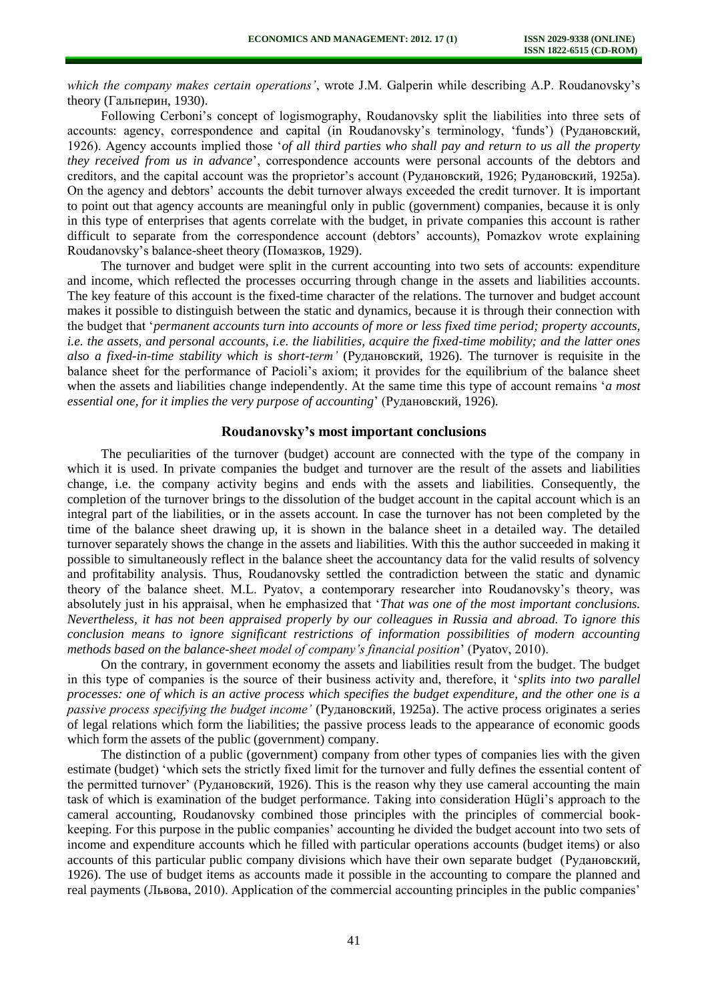*which the company makes certain operations'*, wrote J.M. Galperin while describing A.P. Roudanovsky's theory (Гальперин, 1930).

Following Cerboni's concept of logismography, Roudanovsky split the liabilities into three sets of accounts: agency, correspondence and capital (in Roudanovsky's terminology, 'funds') (Рудановский, 1926). Agency accounts implied those '*of all third parties who shall pay and return to us all the property they received from us in advance*', correspondence accounts were personal accounts of the debtors and creditors, and the capital account was the proprietor's account (Рудановский, 1926; Рудановский, 1925а). On the agency and debtors' accounts the debit turnover always exceeded the credit turnover. It is important to point out that agency accounts are meaningful only in public (government) companies, because it is only in this type of enterprises that agents correlate with the budget, in private companies this account is rather difficult to separate from the correspondence account (debtors' accounts), Pomazkov wrote explaining Roudanovsky's balance-sheet theory (Помазков, 1929).

The turnover and budget were split in the current accounting into two sets of accounts: expenditure and income, which reflected the processes occurring through change in the assets and liabilities accounts. The key feature of this account is the fixed-time character of the relations. The turnover and budget account makes it possible to distinguish between the static and dynamics, because it is through their connection with the budget that '*permanent accounts turn into accounts of more or less fixed time period; property accounts, i.e. the assets, and personal accounts, i.e. the liabilities, acquire the fixed-time mobility; and the latter ones also a fixed-in-time stability which is short-term'* (Рудановский, 1926). The turnover is requisite in the balance sheet for the performance of Pacioli's axiom; it provides for the equilibrium of the balance sheet when the assets and liabilities change independently. At the same time this type of account remains '*a most essential one, for it implies the very purpose of accounting*' (Рудановский, 1926).

### **Roudanovsky's most important conclusions**

The peculiarities of the turnover (budget) account are connected with the type of the company in which it is used. In private companies the budget and turnover are the result of the assets and liabilities change, i.e. the company activity begins and ends with the assets and liabilities. Consequently, the completion of the turnover brings to the dissolution of the budget account in the capital account which is an integral part of the liabilities, or in the assets account. In case the turnover has not been completed by the time of the balance sheet drawing up, it is shown in the balance sheet in a detailed way. The detailed turnover separately shows the change in the assets and liabilities. With this the author succeeded in making it possible to simultaneously reflect in the balance sheet the accountancy data for the valid results of solvency and profitability analysis. Thus, Roudanovsky settled the contradiction between the static and dynamic theory of the balance sheet. M.L. Pyatov, a contemporary researcher into Roudanovsky's theory, was absolutely just in his appraisal, when he emphasized that '*That was one of the most important conclusions. Nevertheless, it has not been appraised properly by our colleagues in Russia and abroad. To ignore this conclusion means to ignore significant restrictions of information possibilities of modern accounting methods based on the balance-sheet model of company's financial position*' (Pyatov, 2010).

On the contrary, in government economy the assets and liabilities result from the budget. The budget in this type of companies is the source of their business activity and, therefore, it '*splits into two parallel processes: one of which is an active process which specifies the budget expenditure, and the other one is a passive process specifying the budget income'* (Рудановский, 1925а). The active process originates a series of legal relations which form the liabilities; the passive process leads to the appearance of economic goods which form the assets of the public (government) company.

The distinction of a public (government) company from other types of companies lies with the given estimate (budget) 'which sets the strictly fixed limit for the turnover and fully defines the essential content of the permitted turnover' (Рудановский, 1926). This is the reason why they use cameral accounting the main task of which is examination of the budget performance. Taking into consideration Hügli's approach to the cameral accounting, Roudanovsky combined those principles with the principles of commercial bookkeeping. For this purpose in the public companies' accounting he divided the budget account into two sets of income and expenditure accounts which he filled with particular operations accounts (budget items) or also accounts of this particular public company divisions which have their own separate budget (Рудановский, 1926). The use of budget items as accounts made it possible in the accounting to compare the planned and real payments (Львова, 2010). Application of the commercial accounting principles in the public companies'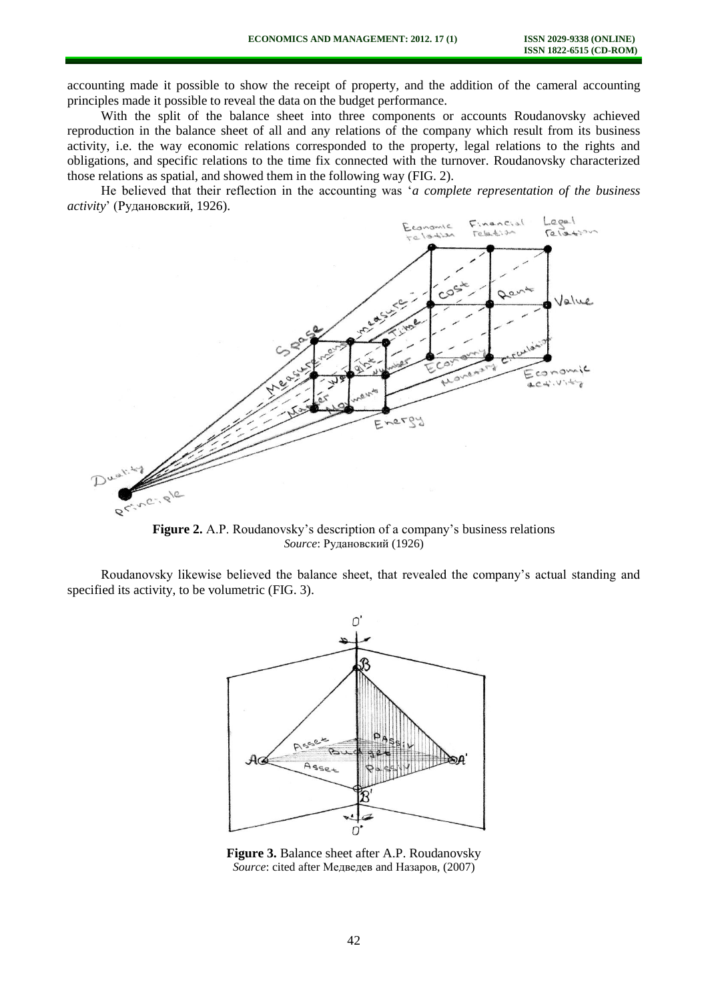accounting made it possible to show the receipt of property, and the addition of the cameral accounting principles made it possible to reveal the data on the budget performance.

With the split of the balance sheet into three components or accounts Roudanovsky achieved reproduction in the balance sheet of all and any relations of the company which result from its business activity, i.e. the way economic relations corresponded to the property, legal relations to the rights and obligations, and specific relations to the time fix connected with the turnover. Roudanovsky characterized those relations as spatial, and showed them in the following way (FIG. 2).

He believed that their reflection in the accounting was '*a complete representation of the business activity*' (Рудановский, 1926).



**Figure 2.** A.P. Roudanovsky's description of a company's business relations *Source*: Рудановский (1926)

Roudanovsky likewise believed the balance sheet, that revealed the company's actual standing and specified its activity, to be volumetric (FIG. 3).



**Figure 3.** Balance sheet after A.P. Roudanovsky *Source*: cited after Медведев and Назаров, (2007)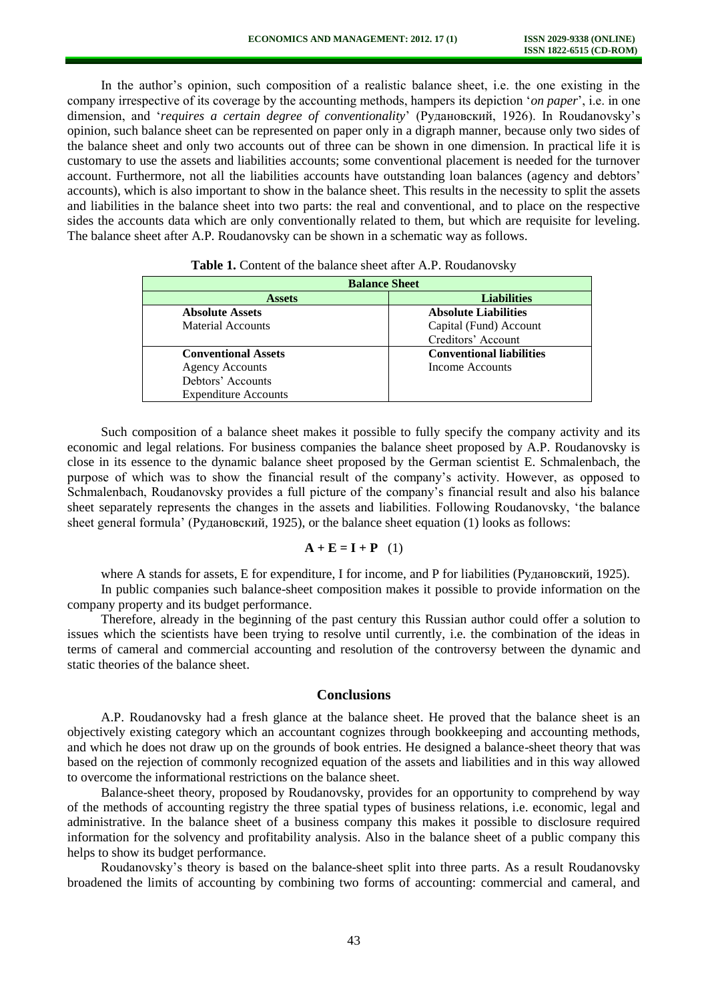In the author's opinion, such composition of a realistic balance sheet, i.e. the one existing in the company irrespective of its coverage by the accounting methods, hampers its depiction '*on paper*', i.e. in one dimension, and '*requires a certain degree of conventionality*' (Рудановский, 1926). In Roudanovsky's opinion, such balance sheet can be represented on paper only in a digraph manner, because only two sides of the balance sheet and only two accounts out of three can be shown in one dimension. In practical life it is customary to use the assets and liabilities accounts; some conventional placement is needed for the turnover account. Furthermore, not all the liabilities accounts have outstanding loan balances (agency and debtors' accounts), which is also important to show in the balance sheet. This results in the necessity to split the assets and liabilities in the balance sheet into two parts: the real and conventional, and to place on the respective sides the accounts data which are only conventionally related to them, but which are requisite for leveling. The balance sheet after A.P. Roudanovsky can be shown in a schematic way as follows.

| <b>Balance Sheet</b>        |                                 |
|-----------------------------|---------------------------------|
| <b>Assets</b>               | <b>Liabilities</b>              |
| <b>Absolute Assets</b>      | <b>Absolute Liabilities</b>     |
| <b>Material Accounts</b>    | Capital (Fund) Account          |
|                             | Creditors' Account              |
| <b>Conventional Assets</b>  | <b>Conventional liabilities</b> |
| <b>Agency Accounts</b>      | Income Accounts                 |
| Debtors' Accounts           |                                 |
| <b>Expenditure Accounts</b> |                                 |

Table 1. Content of the balance sheet after A.P. Roudanovsky

Such composition of a balance sheet makes it possible to fully specify the company activity and its economic and legal relations. For business companies the balance sheet proposed by A.P. Roudanovsky is close in its essence to the dynamic balance sheet proposed by the German scientist E. Schmalenbach, the purpose of which was to show the financial result of the company's activity. However, as opposed to Schmalenbach, Roudanovsky provides a full picture of the company's financial result and also his balance sheet separately represents the changes in the assets and liabilities. Following Roudanovsky, 'the balance sheet general formula' (Рудановский, 1925), or the balance sheet equation (1) looks as follows:

#### $\mathbf{A} + \mathbf{E} = \mathbf{I} + \mathbf{P}$  (1)

where A stands for assets, E for expenditure, I for income, and P for liabilities (Рудановский, 1925).

In public companies such balance-sheet composition makes it possible to provide information on the company property and its budget performance.

Therefore, already in the beginning of the past century this Russian author could offer a solution to issues which the scientists have been trying to resolve until currently, i.e. the combination of the ideas in terms of cameral and commercial accounting and resolution of the controversy between the dynamic and static theories of the balance sheet.

# **Conclusions**

A.P. Roudanovsky had a fresh glance at the balance sheet. He proved that the balance sheet is an objectively existing category which an accountant cognizes through bookkeeping and accounting methods, and which he does not draw up on the grounds of book entries. He designed a balance-sheet theory that was based on the rejection of commonly recognized equation of the assets and liabilities and in this way allowed to overcome the informational restrictions on the balance sheet.

Balance-sheet theory, proposed by Roudanovsky, provides for an opportunity to comprehend by way of the methods of accounting registry the three spatial types of business relations, i.e. economic, legal and administrative. In the balance sheet of a business company this makes it possible to disclosure required information for the solvency and profitability analysis. Also in the balance sheet of a public company this helps to show its budget performance.

Roudanovsky's theory is based on the balance-sheet split into three parts. As a result Roudanovsky broadened the limits of accounting by combining two forms of accounting: commercial and cameral, and